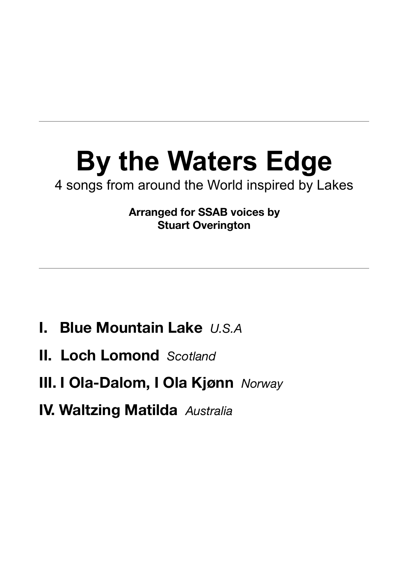# **By the Waters Edge**

#### 4 songs from around the World inspired by Lakes

**Arranged for SSAB voices by Stuart Overington** 

- **I. Blue Mountain Lake** *U.S.A*
- **II. Loch Lomond** *Scotland*
- **III. I Ola-Dalom, I Ola Kjønn** *Norway*
- **IV. Waltzing Matilda** *Australia*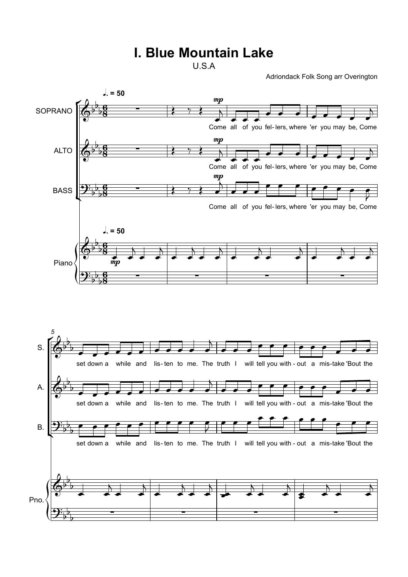### **I. Blue Mountain Lake**

U.S.A

Adriondack Folk Song arr Overington



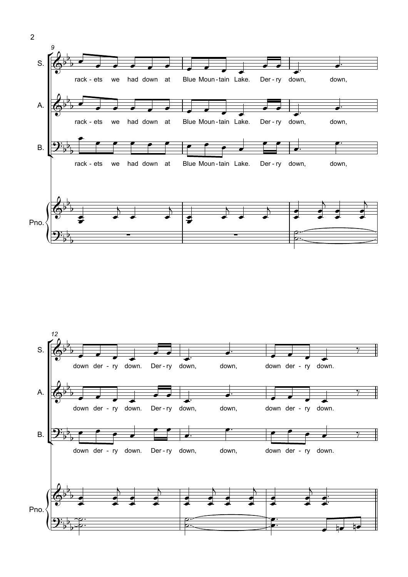

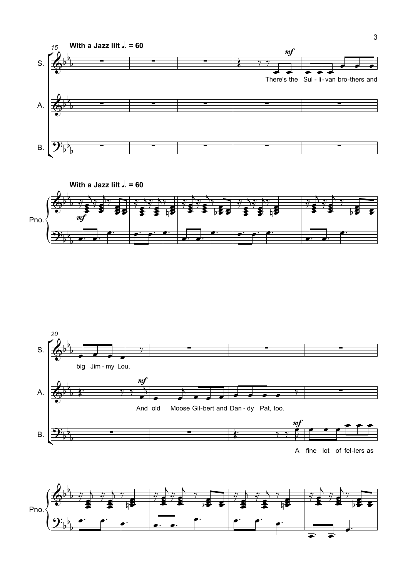

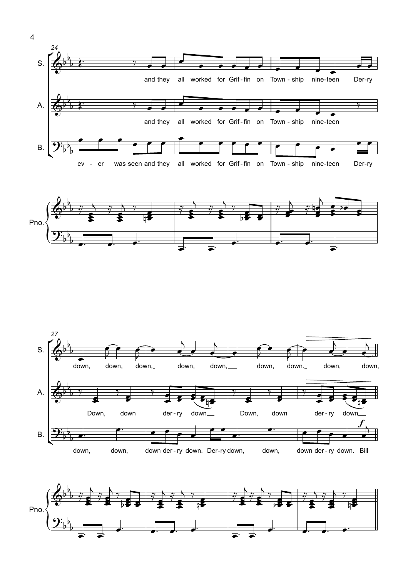

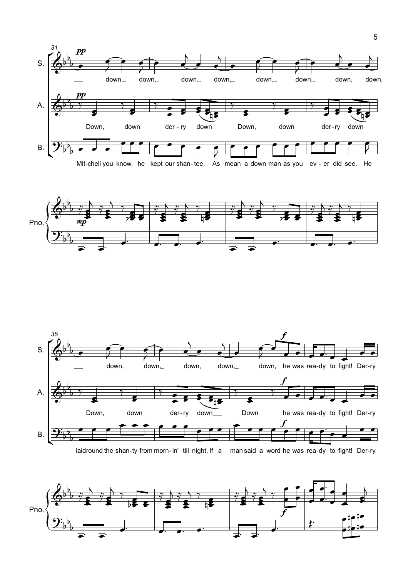

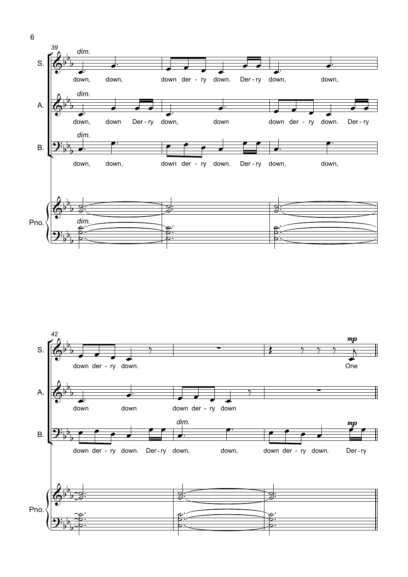

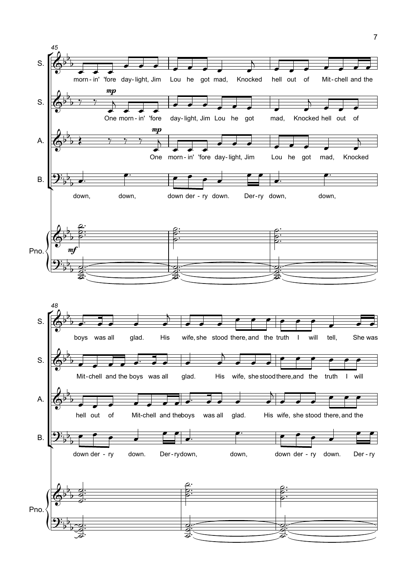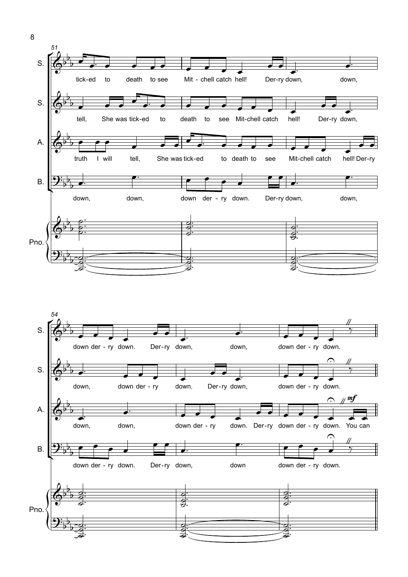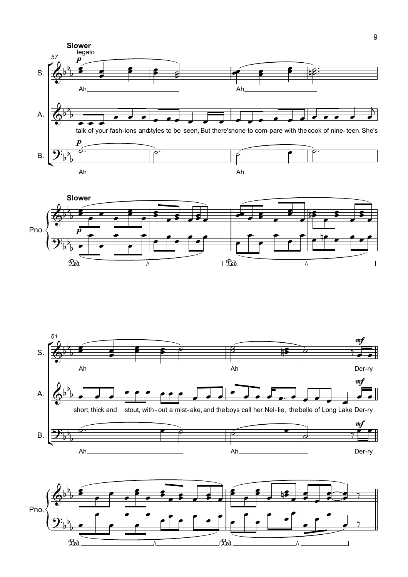

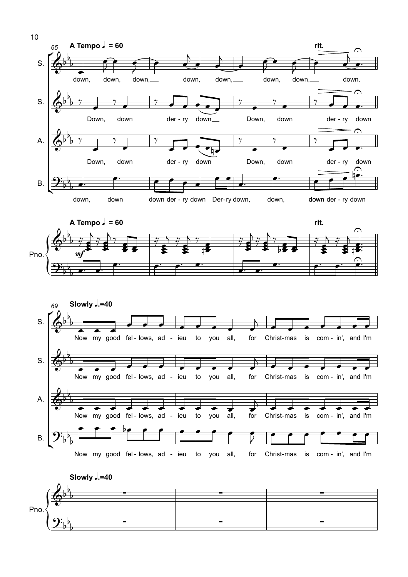

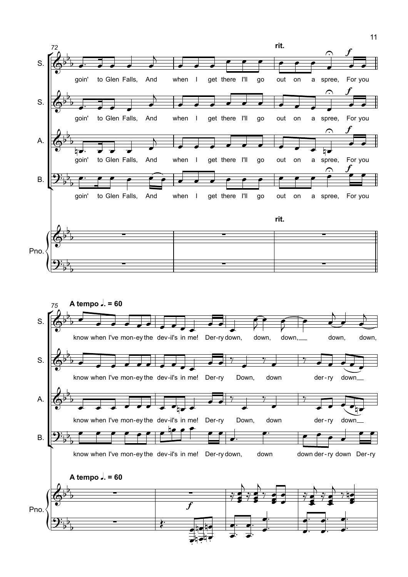

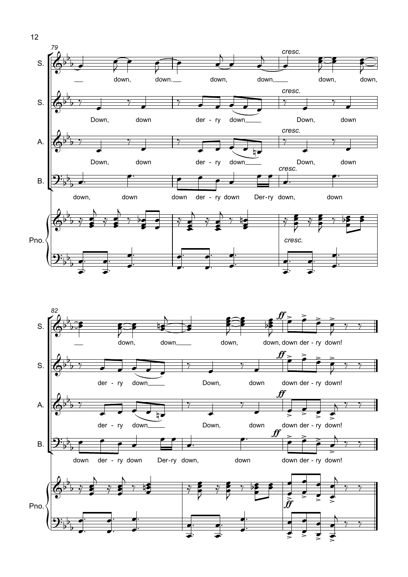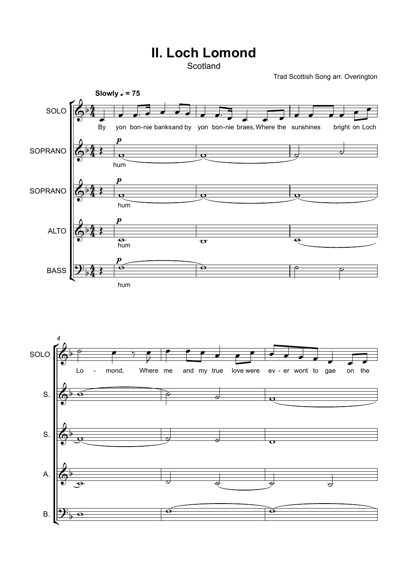### **II. Loch Lomond**

**Scotland** 

Trad Scottish Song arr. Overington



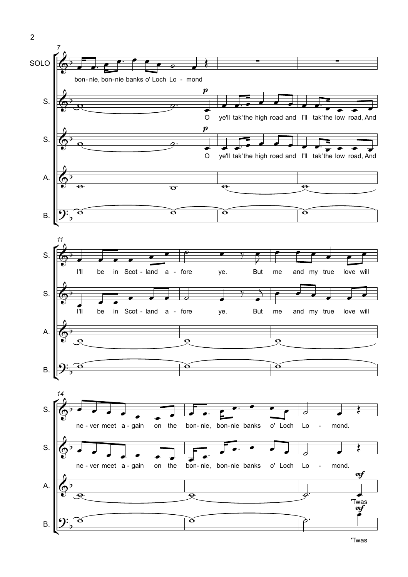

'Twas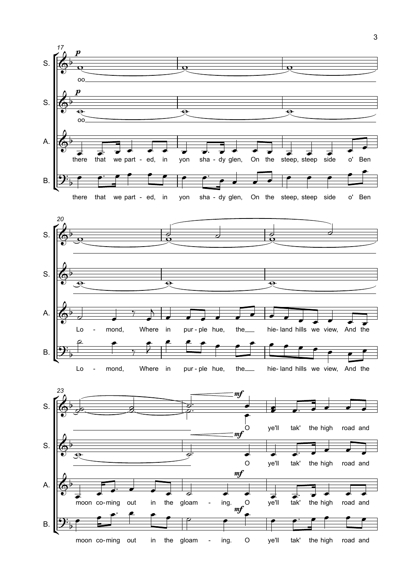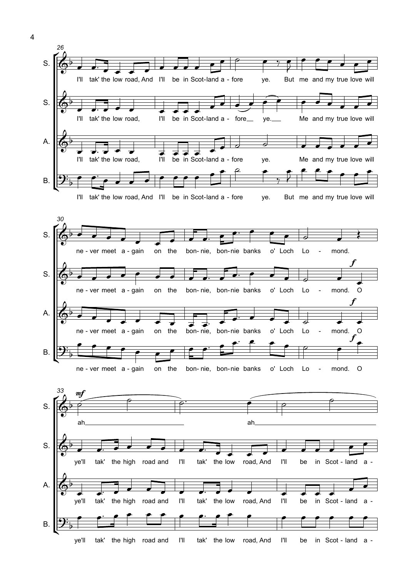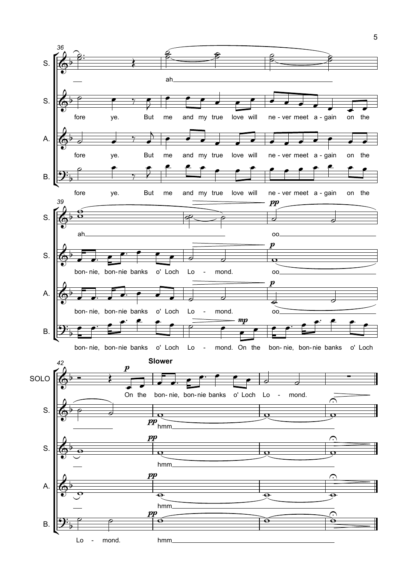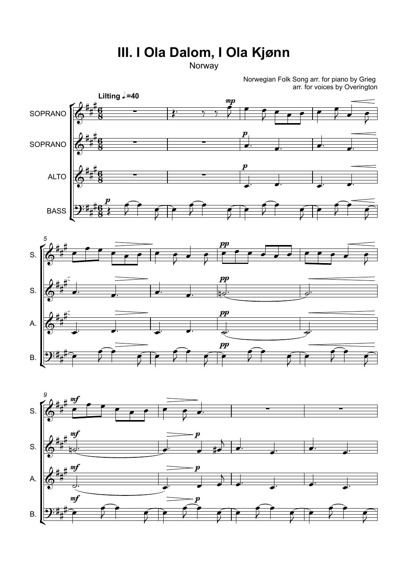## **III. I Ola Dalom, I Ola Kjønn**

Norwegian Folk Song arr. for piano by Grieg arr. for voices by Overington



Norway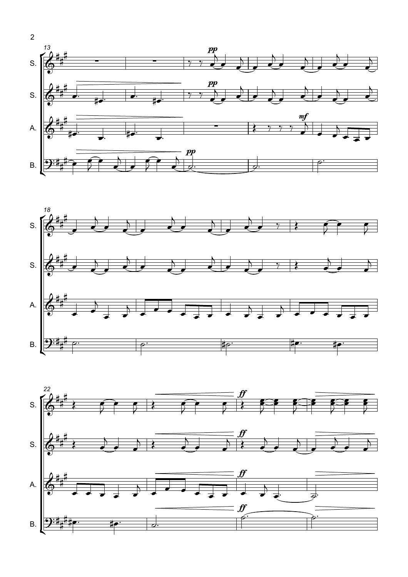



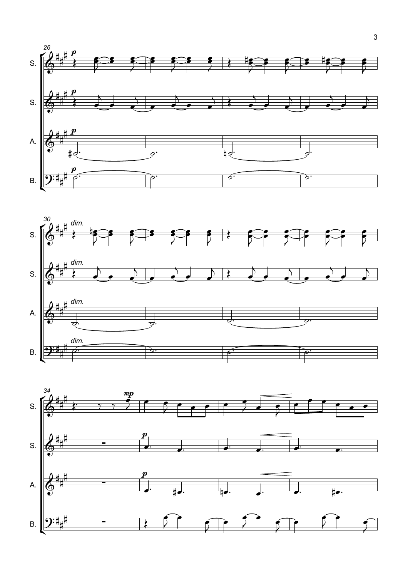



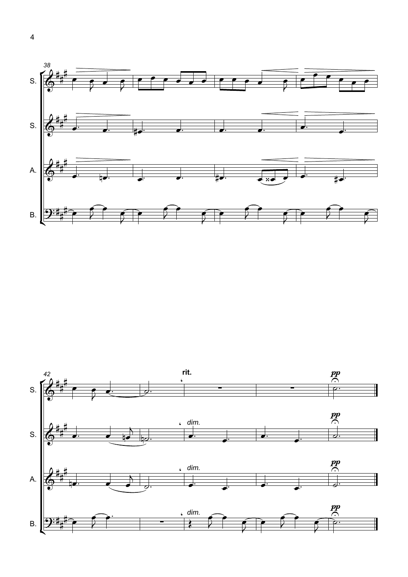

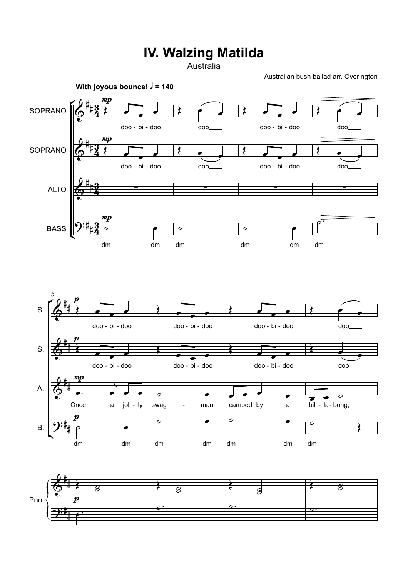## **IV. Walzing Matilda**

Australia

Australian bush ballad arr. Overington

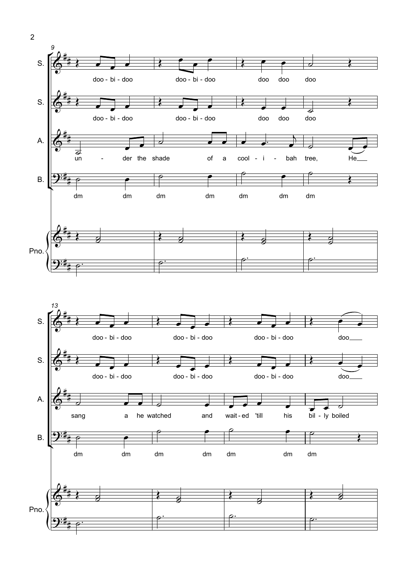



 $\overline{2}$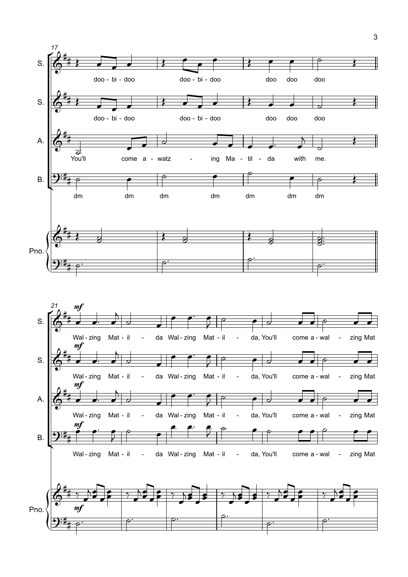

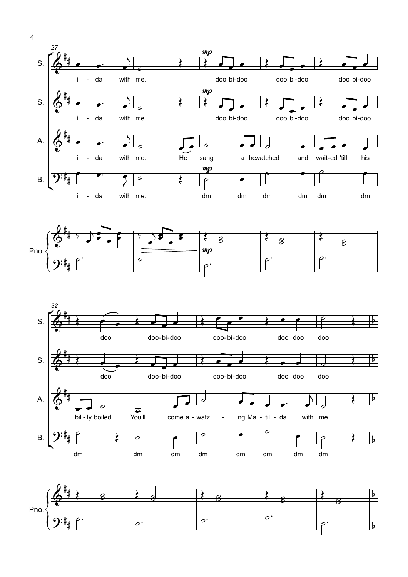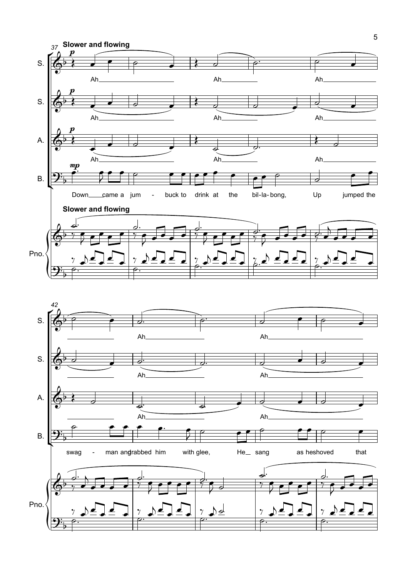

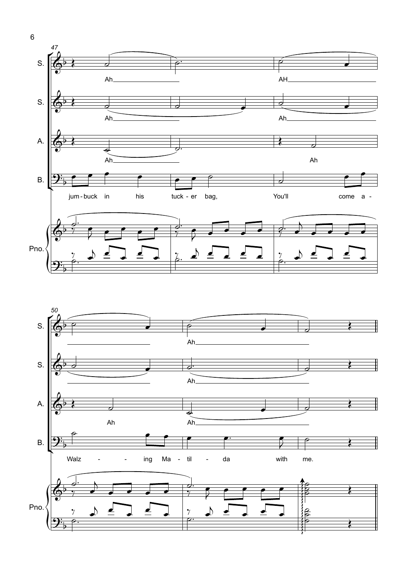

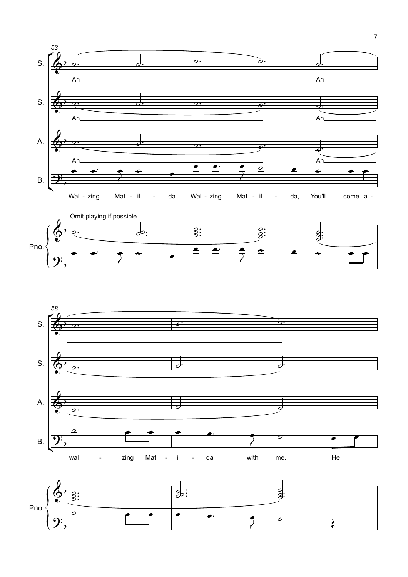

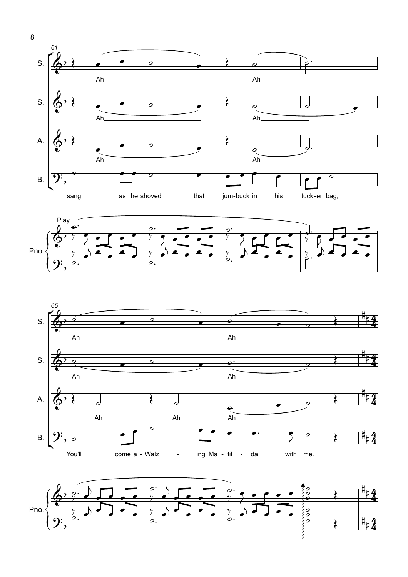

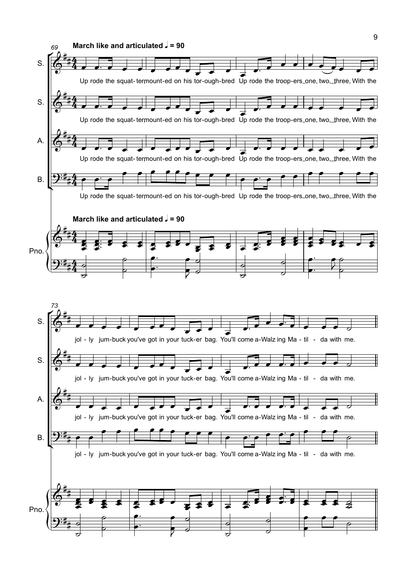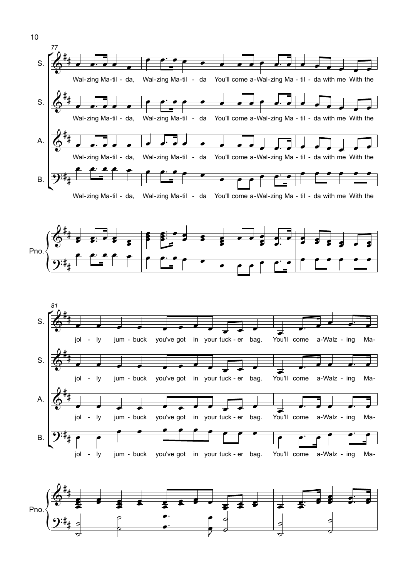

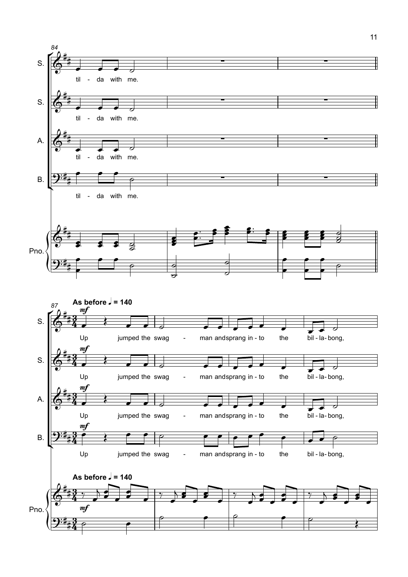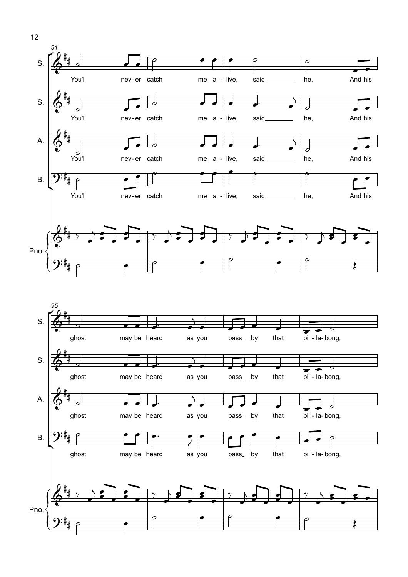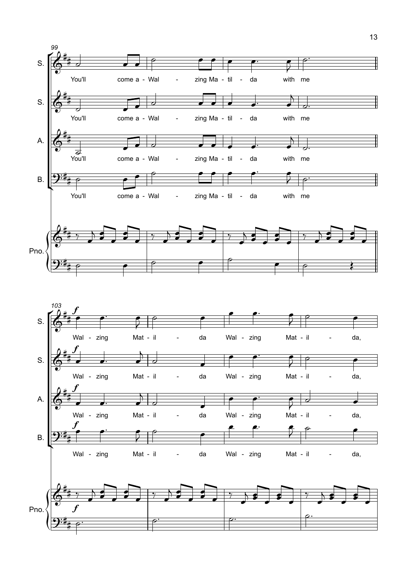![](_page_35_Figure_0.jpeg)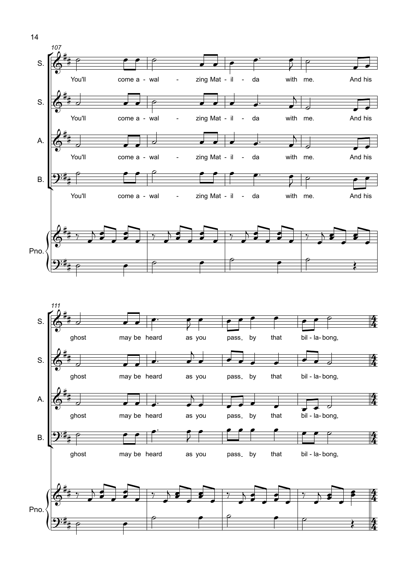![](_page_36_Figure_0.jpeg)